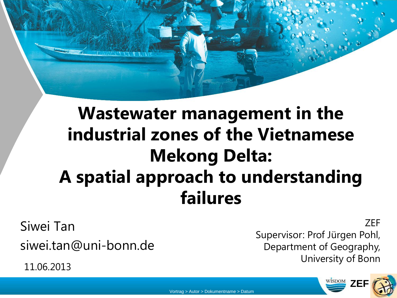# **Wastewater management in the industrial zones of the Vietnamese Mekong Delta: A spatial approach to understanding failures**

Siwei Tan siwei.tan@uni-bonn.de

11.06.2013

ZEF Supervisor: Prof Jürgen Pohl, Department of Geography, University of Bonn

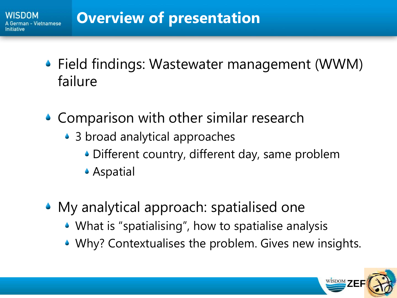- Field findings: Wastewater management (WWM) failure
- ◆ Comparison with other similar research
	- 3 broad analytical approaches
		- Different country, different day, same problem
		- Aspatial
- My analytical approach: spatialised one
	- What is "spatialising", how to spatialise analysis
	- Why? Contextualises the problem. Gives new insights.

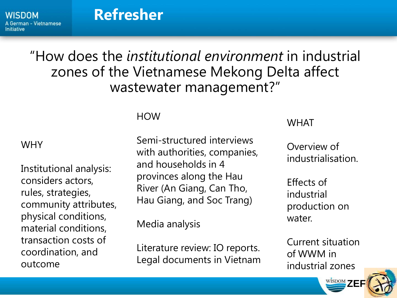**WISDOM** A German - Vietnamese Initiative

## **Refresher**

## "How does the *institutional environment* in industrial zones of the Vietnamese Mekong Delta affect wastewater management?"

#### HOW

#### WHY

Institutional analysis: considers actors, rules, strategies, community attributes, physical conditions, material conditions, transaction costs of coordination, and outcome

Semi-structured interviews with authorities, companies, and households in 4 provinces along the Hau River (An Giang, Can Tho, Hau Giang, and Soc Trang)

Media analysis

Literature review: IO reports. Legal documents in Vietnam

#### **WHAT**

Overview of industrialisation.

Effects of industrial production on water.

Current situation of WWM in industrial zones

**WISDOM** ZEF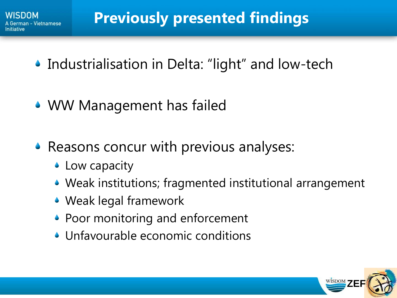- Industrialisation in Delta: "light" and low-tech
- WW Management has failed
- ◆ Reasons concur with previous analyses:
	- Low capacity
	- Weak institutions; fragmented institutional arrangement
	- Weak legal framework
	- Poor monitoring and enforcement
	- Unfavourable economic conditions

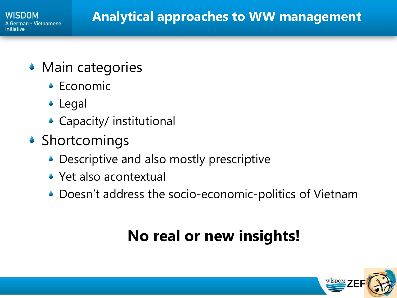- Main categories
	- Economic
	- Legal
	- Capacity/ institutional
- Shortcomings
	- Descriptive and also mostly prescriptive
	- Yet also acontextual
	- Doesn't address the socio-economic-politics of Vietnam

# **No real or new insights!**

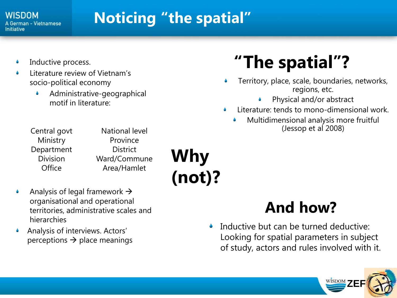#### **WISDOM** A German - Vietnamese Initiative

# **Noticing "the spatial"**

- Inductive process.
- Literature review of Vietnam's socio-political economy
	- Administrative-geographical motif in literature:

| Central govt    | <b>National level</b> |
|-----------------|-----------------------|
| Ministry        | Province              |
| Department      | <b>District</b>       |
| <b>Division</b> | Ward/Commune          |
| Office          | Area/Hamlet           |
|                 |                       |

**Why (not)?**

- Analysis of legal framework  $\rightarrow$ organisational and operational territories, administrative scales and hierarchies
- Analysis of interviews. Actors' perceptions  $\rightarrow$  place meanings

# **"The spatial"?**

- Territory, place, scale, boundaries, networks, regions, etc.
	- Physical and/or abstract
- Literature: tends to mono-dimensional work. ٥
	- Multidimensional analysis more fruitful (Jessop et al 2008)

## **And how?**

Inductive but can be turned deductive:  $\blacklozenge$ Looking for spatial parameters in subject of study, actors and rules involved with it.

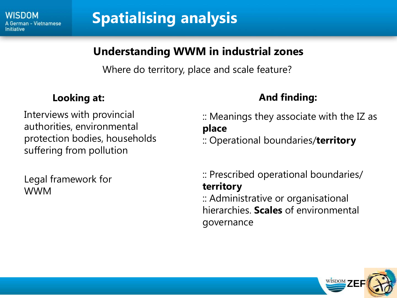

# **Spatialising analysis**

### **Understanding WWM in industrial zones**

Where do territory, place and scale feature?

Interviews with provincial authorities, environmental protection bodies, households suffering from pollution

Legal framework for WWM

### **Looking at: And finding: And finding:**

:: Meanings they associate with the IZ as **place** :: Operational boundaries/**territory**

:: Prescribed operational boundaries/ **territory** :: Administrative or organisational hierarchies. **Scales** of environmental governance

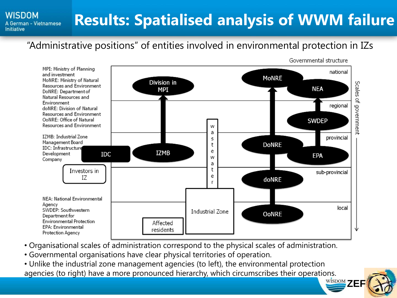#### **Results: Spatialised analysis of WWM failure**A German - Vietnamese

#### "Administrative positions" of entities involved in environmental protection in IZs



- Organisational scales of administration correspond to the physical scales of administration.
- Governmental organisations have clear physical territories of operation.

**WISDOM** 

**Initiative** 

**WISDOM** ZEF • Unlike the industrial zone management agencies (to left), the environmental protection agencies (to right) have a more pronounced hierarchy, which circumscribes their operations.